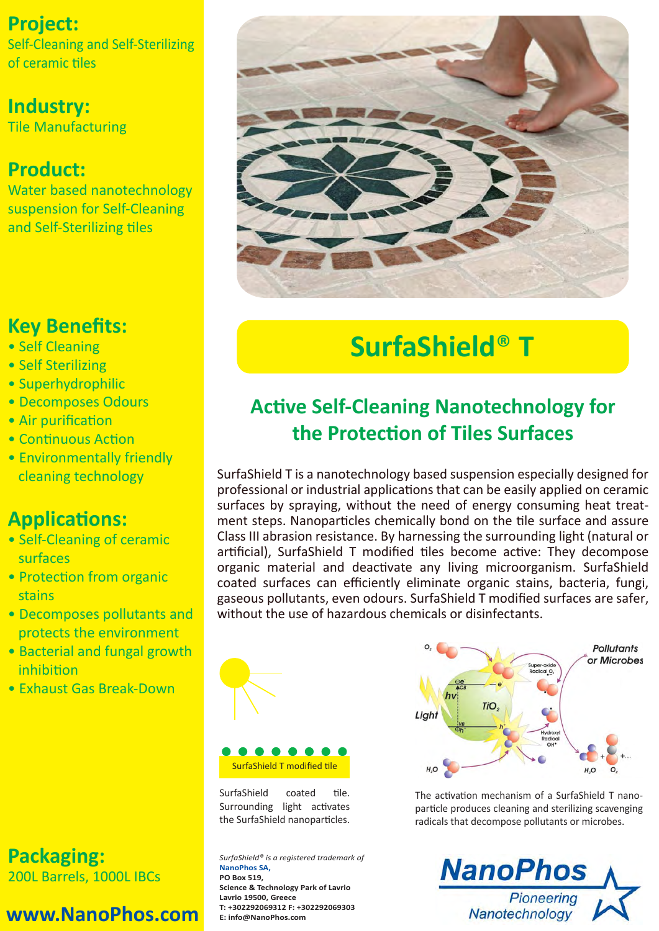## **Project:**

Self-Cleaning and Self-Sterilizing of ceramic Ɵles

## **Industry:**

Tile Manufacturing

## **Product:**

Water based nanotechnology suspension for Self-Cleaning and Self-Sterilizing tiles

## **Key Benefits:**

- Self Cleaning
- Self Sterilizing
- Superhydrophilic
- Decomposes Odours
- Air purification
- Continuous Action
- Environmentally friendly cleaning technology

## **ApplicaƟons:**

- Self-Cleaning of ceramic surfaces
- Protection from organic stains
- Decomposes pollutants and protects the environment
- Bacterial and fungal growth **inhibition**
- Exhaust Gas Break-Down

**Packaging:** 200L Barrels, 1000L IBCs

## **www.NanoPhos.com**



# **SurfaShield**® **T**

## **AcƟve Self-Cleaning Nanotechnology for the ProtecƟon of Tiles Surfaces**

SurfaShield T is a nanotechnology based suspension especially designed for professional or industrial applications that can be easily applied on ceramic surfaces by spraying, without the need of energy consuming heat treatment steps. Nanoparticles chemically bond on the tile surface and assure Class III abrasion resistance. By harnessing the surrounding light (natural or artificial), SurfaShield T modified tiles become active: They decompose organic material and deactivate any living microorganism. SurfaShield coated surfaces can efficiently eliminate organic stains, bacteria, fungi, gaseous pollutants, even odours. SurfaShield T modified surfaces are safer, without the use of hazardous chemicals or disinfectants.



SurfaShield coated tile. Surrounding light activates the SurfaShield nanoparticles.

*SurfaShield® is a registered trademark of*  **NanoPhos SA, PO Box 519, Science & Technology Park of Lavrio Lavrio 19500, Greece T: +302292069312 F: +302292069303 E: info@NanoPhos.com**



The activation mechanism of a SurfaShield T nanoparticle produces cleaning and sterilizing scavenging radicals that decompose pollutants or microbes.